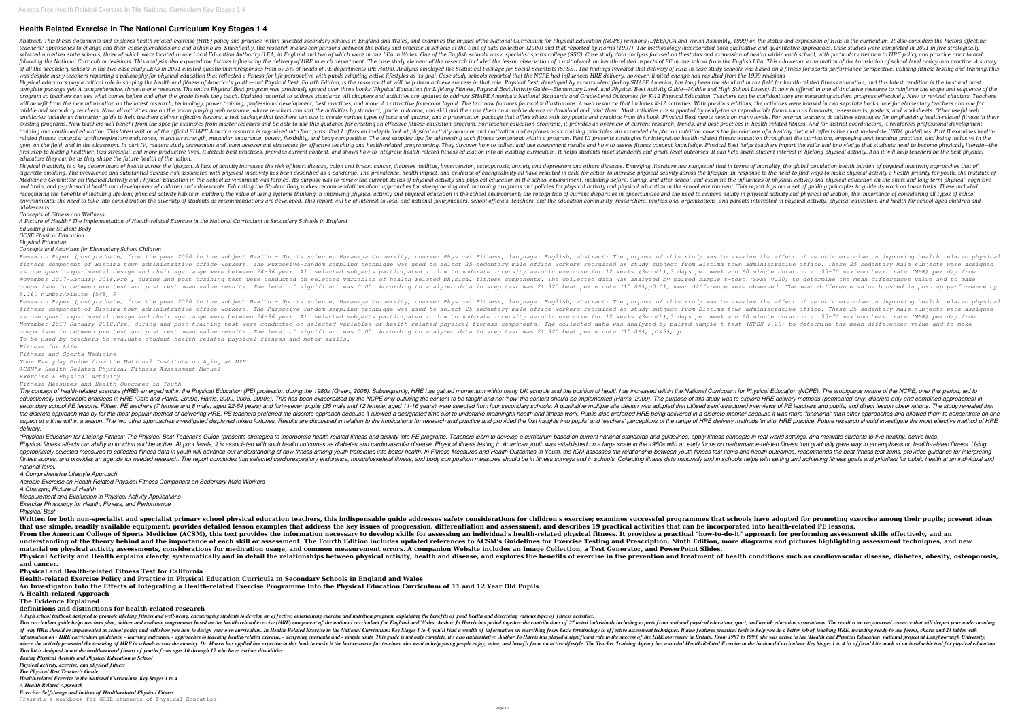# **Health Related Exercise In The National Curriculum Key Stages 1 4**

Abstract: This thesis documents and explores health-related exercise (HRE) policy and practice within selected secondary schools in England and Welsh Assembly, 1999) on the status and expression of HRE in the curriculum. I teachers? approaches to change and their consequentdecisions and behaviours. Specifically, the research makes comparisons between the policy and practice in schools at the time of data collection (2000) and that reported b selected mixedsex state schools, three of which were located in one Local Education Authority (LEA) in England and two of which were in one LEA in Wales. One of the English schools was a specialist sports college (SSC). Ca following the National Curriculum revisions. This analysis also explored the factors influencing the delivery of HRE in each department. The case study element of the English LEA. This allowedan examination of the translat of all the secondary schools in the two case study LEAs in 2001 elicited questionnaireresponses from 67.5% of heads of PE departments (PE HoDs). Analysis employed the Statistical Package for Social Scientists (SPSS). The f was despite many teachers reporting a philosophy for physical education that reflected a fitness for life perspective with pupils adopting active lifestyles as its goal. Case study schools reported that the NCPE had influe Physical educators play a critical role in shaping the health and fitness of America's youth—and Physical Best, Fourth Edition, is the resource that will help them achieve success in that role. Physical Best, developed by complete package yet: A comprehensive, three-in-one resource. The entire Physical Best program was previously spread over three books (Physical Best Activity Guide—Elementary Level, and Physical Best Activity Guide—Element program so teachers can see what comes before and after the grade levels they teach. Updated material to address standards. All chapters and activities are updated to address SHAPE America's National Standards and Grade-Le will benefit from the new information on the latest research, technology, power training, professional development, best practices, and more. An attractive four-color illustrations, the activities. With previous editions, middle and secondary teachers. Now, all activities are on the accompanying web resource, where teachers can sort the activities by standard, grade, outcome, and skill and them weady-to-use reproducible forms such as handou ancillaries include an instructor quide to help teachers deliver effective lessons, a test package that teachers can use to create various types of tests and a presentation package that offers slides with key points and a existing programs. New teachers will benefit from the specific examples from master teachers and be able to use this quidance for creating an effective fitness, and best practices in health-related fitness. And for distric training and continued education. This latest edition of the official SHAPE America resource is organized into four parts: Part I offers an in-depth look at physical activity behavior and motivation covers the foundations related fitness concepts: cardiorespiratory endurance, muscular strength, muscular endurance, power, flexibility, and body composition. The text supplies tips for addressing each fitness education throughout the curriculum gym, on the field, and in the classroom. In part IV, readers study assessment and learn assessment strategies for effective teaching and how to assess fitness concept knowledge. Physical Best helps teachers impart the skil irst step to leading healthier, less stressful, and more productive lives. It details best practices, provides current content, and shows how to integrate health-related fitness education into an existing curriculum. It he *educators they can be as they shape the future health of the nation.*

Physical inactivity is a key determinant of health across the lifespan. A lack of activity increases the risk of heart disease, colon and breast cancer, diabetes mellitus, hypertension, osteoporosis, anxiety and depression cigarette smoking. The prevalence and substantial disease risk associated with physical inactivity has been described as a pandemic. The prevalence of changeability all have resulted in calls for activity across the lifesp Medicine's Committee on Physical Activity and Physical Education in the School Environment was formed. Its purpose was to review the current status of physical activity and physical activity and physical activity and physi and psychosocial health and development of children and adolescents. Educating the Student Body makes recommendations about approaches for strengthening and improving programs and policies for strengthening and improving p recognizing the benefits of instilling life-long physical activity habits in children; the value of using systems thinking in improving physical education in the school environment; the recognition of current disparities a environments; the need to take into consideration the diversity of students as recommendations are developed. This report will be of interest to local and national policymakers, school officials, teachers, and parents inte *adolescents.*

Research Paper (postgraduate) from the year 2020 in the subject Health - Sports science, Haramaya University, course: Physical Fitness, language: English, abstract: The purpose of this study was to examine the effect of ae fitness component of Bistima town administrative office workers. The Purposive-random sampling technique was used to select 25 sedentary male office. These 25 sedentary male subjects were assigned as one quasi experimental design and their age range were between 24-36 year .All selected subjects participated in low to moderate intensity aerobic exercise for 12 weeks (3month), 3 days per week and 60 minute duration a November 2017-January 2018.Pre , during and post training test were conducted on selected variables of health related physical fitness components. The collected data was analyzed by paired sample t-test (SPSS v.20) to dete comparison in between pre test and post test mean value results. The level of significant was 0.05. According to analyzed data in step test was 21.320 beat per minute (15.06%, p0.01) mean difference were observed. The mean *5.160 number/minute (54%, P*

Research Paper (postgraduate) from the year 2020 in the subject Health - Sports science, Haramaya University, course: Physical Fitness, language: English, abstract: The purpose of this study was to examine the effect of ae fitness component of Bistima town administrative office workers. The Purposive-random sampling technique was used to select 25 sedentary male office. These 25 sedentary male subjects were assigned as one quasi experimental design and their age range were between 24-36 year .All selected subjects participated in low to moderate intensity aerobic exercise for 12 weeks (3month), 3 days per week and 60 minute duration a November 2017-January 2018.Pre, during and post training test were conducted on selected variables of health related physical fitness components. The collected data was analyzed by paired sample t-test (SPSS v.20) to deter *comparison in between pre test and post test mean value results. The level of significant was 0.05. According to analyzed data in step test was 21.320 beat per minute (15.06%, p143%, p To be used by teachers to evaluate student health-related physical fitness and motor skills. Fitness for Life*

The concept of health-related exercise (HRE) emerged within the Physical Education (PE) profession during the 1980s (Green, 2008). Subsequently, HRE has gained momentum within the National Curriculum for Physical Education educationally undesirable practices in HRE (Cale and Harris, 2009a; Harris, 2009, 2005, 2009, 2005, 2000a). This has been exacerbated by the NCPE only outlining the content should be implemented (Harris, 2009). The purpose secondary school PE lessons. Fifteen PE teachers (7 female and 8 male: aged 22-54 years) and forty-seven pupils (35 male and 12 female; aged 11-16 years) were selected from four secondary schools. A qualitative multiple si the discrete approach was by far the most popular method of delivering HRE. PE teachers preferred the discrete approach because it allowed a designated time slot to undertake meaningful health and fitness work. Pupils also aspect at a time within a lesson. The two other approaches investigated displayed mixed fortunes. Results are discussed in relation to the implications of the range of HRE delivery methods 'in situ' HRE practice. Future re *delivery.*

"Physical Education for Lifelong Fitness: The Physical Best Teacher's Guide "presents strategies to incorporate health-related fitness and activity into PE programs. Teachers learn to develop a curriculum based on current Physical fitness affects our ability to function and be active. At poor levels, it is associated with such health outcomes as diabetes and cardiovascular disease. Physical fitness testing in American youth was established appropriately selected measures to collected fitness data in youth will advance our understanding of how fitness among youth translates into better health. In Fitness test items and health outcomes, recommends the best fit the report concludes and provides an agenda for needed research. The report concludes that selected cardiorespiratory endurance, musculoskeletal fitness, and in schools helps with setting and achieving fitness goals and pr *national level.*

Written for both non-specialist and specialist primary school physical education teachers, this indispensable guide addresses safety considerations for children's exercise; examines successful programmes that schools have that use simple, readily available equipment; provides detailed lesson examples that address the key issues of progression, differentiation and assessment; and describes 19 practical activities that can be incorporated int From the American College of Sports Medicine (ACSM), this text provides the information necessary to develop skills for assessing an individual's health-related physical fitness. It provides a practical "how-to-do-it" appr understanding of the theory behind and the importance of each skill or assessment. The Fourth Edition includes updated references to ACSM's Guidelines for Exercise Testing and Prescription, Ninth Edition, more diagrams and **material on physical activity assessments, considerations for medication usage, and common measurement errors. A companion Website includes an Image Collection, a Test Generator, and PowerPoint Slides.** Physical Activity and Health explains clearly, systematically and in detail the relationships between physical activity, health and disease, and explores the benefits of exercise in the prevention and treatment of health c **and cancer.**

*Concepts of Fitness and Wellness*

*A Picture of Health? The Implementation of Health-related Exercise in the National Curriculum in Secondary Schools in England Educating the Student Body*

*GCSE Physical Education Physical Education*

# *Concepts and Activities for Elementary School Children*

A high school textbook designed to promote lifelong fitness and well-being, encouraging students to develop an effective, entertaining exercise and nutrition program, explaining the benefits of good health and describing v This curriculum guide helps teachers plan, deliver and evaluate programmes based on the health-related exercise (HRE) component of the national physical education, sport, and health education, sport, and health educations. of why HRE should be implemented as school policy and will show you how to design your own curriculum. In Health-Related Exercise in the National Curriculum: Key Stages 1 to 4, you'll find a wealth of information on everyt outcomes, - learning outcomes, - approaches to teaching health-related exercise, - designing curricula and - sample units. This guide is not only complete, it's also authoritative. Author Jo Harris has played a significant on where she actively promoted the teaching of HRE in schools across the country. Dr. Harris has applied her expertise to this book to make it the best resource for teachers who want to help young people enjoy, value, and *This kit is designed to test the health-related fitness of youths from ages 10 through 17 who have various disabilities.*

# *Fitness and Sports Medicine*

*Your Everyday Guide from the National Institute on Aging at NIH.*

*ACSM's Health-Related Physical Fitness Assessment Manual*

*Exercise & Physical Activity*

### *Fitness Measures and Health Outcomes in Youth*

*A Comprehensive Lifestyle Approach*

*Aerobic Exercise on Health Related Physical Fitness Component on Sedentary Male Workers*

*A Changing Picture of Health*

*Measurement and Evaluation in Physical Activity Applications*

*Exercise Physiology for Health, Fitness, and Performance*

*Physical Best*

**Physical and Health-related Fitness Test for California**

**Health-related Exercise Policy and Practice in Physical Education Curricula in Secondary Schools in England and Wales An Investigaton Into the Effects of Integrating a Health-related Exercise Programme Into the Physical Education Curriculum of 11 and 12 Year Old Pupils A Health-related Approach**

**The Evidence Explained**

# **definitions and distinctions for health-related research**

*Taking Physical Activity and Physical Education to School*

*Physical activity, exercise, and physical fitness*

*The Physical Best Teacher's Guide*

*Health-related Exercise in the National Curriculum, Key Stages 1 to 4 A Health Related Approach*

*Exerciser Self-image and Indices of Health-related Physical Fitness*

Presents a workbook for GCSE students of Physical Education.